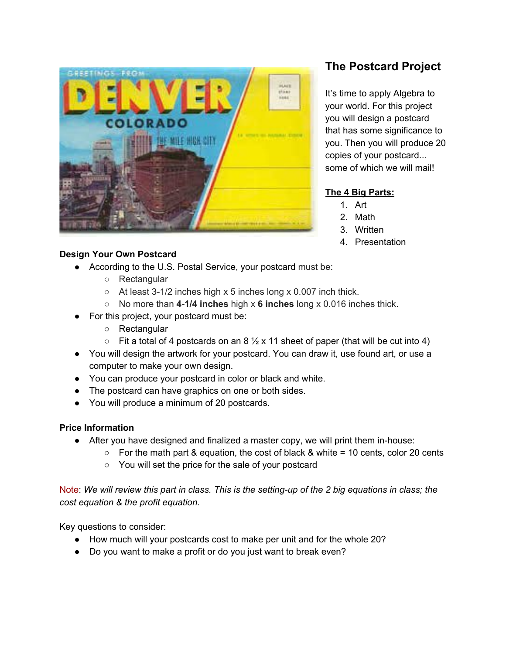

# **Design Your Own Postcard**

- According to the U.S. Postal Service, your postcard must be:
	- Rectangular
	- At least 3-1/2 inches high x 5 inches long x 0.007 inch thick.
	- No more than **4-1/4 inches** high x **6 inches** long x 0.016 inches thick.
- For this project, your postcard must be:
	- Rectangular
	- $\circ$  Fit a total of 4 postcards on an 8  $\frac{1}{2}$  x 11 sheet of paper (that will be cut into 4)
- You will design the artwork for your postcard. You can draw it, use found art, or use a computer to make your own design.
- You can produce your postcard in color or black and white.
- The postcard can have graphics on one or both sides.
- You will produce a minimum of 20 postcards.

# **Price Information**

- After you have designed and finalized a master copy, we will print them in-house:
	- $\circ$  For the math part & equation, the cost of black & white = 10 cents, color 20 cents
	- You will set the price for the sale of your postcard

Note: We will review this part in class. This is the setting-up of the 2 big equations in class; the *cost equation & the profit equation.*

Key questions to consider:

- How much will your postcards cost to make per unit and for the whole 20?
- Do you want to make a profit or do you just want to break even?

# **The Postcard Project**

It's time to apply Algebra to your world. For this project you will design a postcard that has some significance to you. Then you will produce 20 copies of your postcard... some of which we will mail!

# **The 4 Big Parts:**

- 1. Art
- 2. Math
- 3. Written
- 4. Presentation